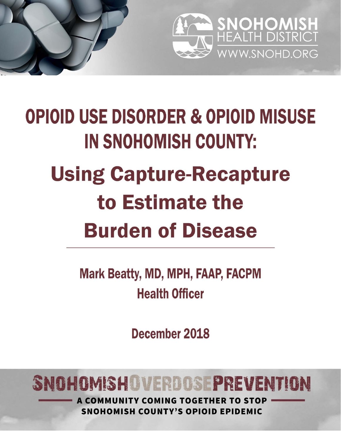

# **OPIOID USE DISORDER & OPIOID MISUSE IN SNOHOMISH COUNTY: Using Capture-Recapture** to Estimate the **Burden of Disease**

**Mark Beatty, MD, MPH, FAAP, FACPM Health Officer** 

December 2018

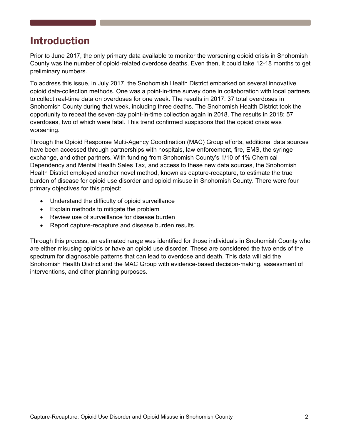# Introduction

Prior to June 2017, the only primary data available to monitor the worsening opioid crisis in Snohomish County was the number of opioid-related overdose deaths. Even then, it could take 12-18 months to get preliminary numbers.

To address this issue, in July 2017, the Snohomish Health District embarked on several innovative opioid data-collection methods. One was a point-in-time survey done in collaboration with local partners to collect real-time data on overdoses for one week. The results in 2017: 37 total overdoses in Snohomish County during that week, including three deaths. The Snohomish Health District took the opportunity to repeat the seven-day point-in-time collection again in 2018. The results in 2018: 57 overdoses, two of which were fatal. This trend confirmed suspicions that the opioid crisis was worsening.

Through the Opioid Response Multi-Agency Coordination (MAC) Group efforts, additional data sources have been accessed through partnerships with hospitals, law enforcement, fire, EMS, the syringe exchange, and other partners. With funding from Snohomish County's 1/10 of 1% Chemical Dependency and Mental Health Sales Tax, and access to these new data sources, the Snohomish Health District employed another novel method, known as capture-recapture, to estimate the true burden of disease for opioid use disorder and opioid misuse in Snohomish County. There were four primary objectives for this project:

- Understand the difficulty of opioid surveillance
- Explain methods to mitigate the problem
- Review use of surveillance for disease burden
- Report capture-recapture and disease burden results.

Through this process, an estimated range was identified for those individuals in Snohomish County who are either misusing opioids or have an opioid use disorder. These are considered the two ends of the spectrum for diagnosable patterns that can lead to overdose and death. This data will aid the Snohomish Health District and the MAC Group with evidence-based decision-making, assessment of interventions, and other planning purposes.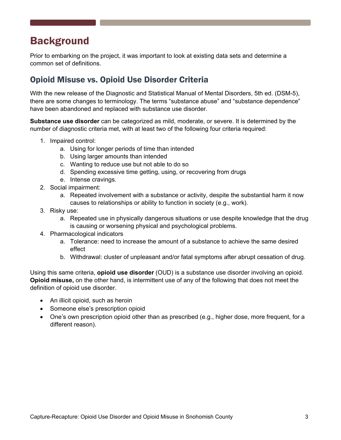# **Background**

Prior to embarking on the project, it was important to look at existing data sets and determine a common set of definitions.

# Opioid Misuse vs. Opioid Use Disorder Criteria

With the new release of the Diagnostic and Statistical Manual of Mental Disorders, 5th ed. (DSM-5), there are some changes to terminology. The terms "substance abuse" and "substance dependence" have been abandoned and replaced with substance use disorder.

**Substance use disorder** can be categorized as mild, moderate, or severe. It is determined by the number of diagnostic criteria met, with at least two of the following four criteria required:

- 1. Impaired control:
	- a. Using for longer periods of time than intended
	- b. Using larger amounts than intended
	- c. Wanting to reduce use but not able to do so
	- d. Spending excessive time getting, using, or recovering from drugs
	- e. Intense cravings.
- 2. Social impairment:
	- a. Repeated involvement with a substance or activity, despite the substantial harm it now causes to relationships or ability to function in society (e.g., work).
- 3. Risky use:
	- a. Repeated use in physically dangerous situations or use despite knowledge that the drug is causing or worsening physical and psychological problems.
- 4. Pharmacological indicators
	- a. Tolerance: need to increase the amount of a substance to achieve the same desired effect
	- b. Withdrawal: cluster of unpleasant and/or fatal symptoms after abrupt cessation of drug.

Using this same criteria, **opioid use disorder** (OUD) is a substance use disorder involving an opioid. **Opioid misuse,** on the other hand, is intermittent use of any of the following that does not meet the definition of opioid use disorder.

- An illicit opioid, such as heroin
- Someone else's prescription opioid
- One's own prescription opioid other than as prescribed (e.g., higher dose, more frequent, for a different reason).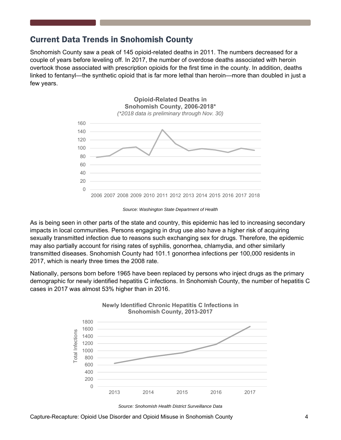## Current Data Trends in Snohomish County

Snohomish County saw a peak of 145 opioid-related deaths in 2011. The numbers decreased for a couple of years before leveling off. In 2017, the number of overdose deaths associated with heroin overtook those associated with prescription opioids for the first time in the county. In addition, deaths linked to fentanyl—the synthetic opioid that is far more lethal than heroin—more than doubled in just a few years.



*Source: Washington State Department of Health* 

As is being seen in other parts of the state and country, this epidemic has led to increasing secondary impacts in local communities. Persons engaging in drug use also have a higher risk of acquiring sexually transmitted infection due to reasons such exchanging sex for drugs. Therefore, the epidemic may also partially account for rising rates of syphilis, gonorrhea, chlamydia, and other similarly transmitted diseases. Snohomish County had 101.1 gonorrhea infections per 100,000 residents in 2017, which is nearly three times the 2008 rate.

Nationally, persons born before 1965 have been replaced by persons who inject drugs as the primary demographic for newly identified hepatitis C infections. In Snohomish County, the number of hepatitis C cases in 2017 was almost 53% higher than in 2016.



*Source: Snohomish Health District Surveillance Data* 

Capture-Recapture: Opioid Use Disorder and Opioid Misuse in Snohomish County 4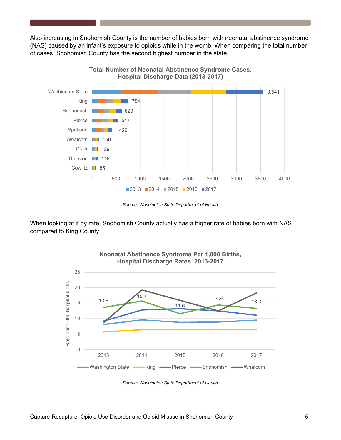Also increasing in Snohomish County is the number of babies born with neonatal abstinence syndrome (NAS) caused by an infant's exposure to opioids while in the womb. When comparing the total number of cases, Snohomish County has the second highest number in the state.



*Source: Washington State Department of Health* 

When looking at it by rate, Snohomish County actually has a higher rate of babies born with NAS compared to King County.



*Source: Washington State Department of Health*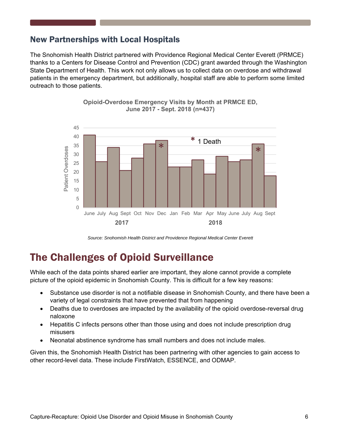## New Partnerships with Local Hospitals

The Snohomish Health District partnered with Providence Regional Medical Center Everett (PRMCE) thanks to a Centers for Disease Control and Prevention (CDC) grant awarded through the Washington State Department of Health. This work not only allows us to collect data on overdose and withdrawal patients in the emergency department, but additionally, hospital staff are able to perform some limited outreach to those patients.



**Opioid-Overdose Emergency Visits by Month at PRMCE ED, June 2017 - Sept. 2018 (n=437)**

*Source: Snohomish Health District and Providence Regional Medical Center Everett* 

# The Challenges of Opioid Surveillance

While each of the data points shared earlier are important, they alone cannot provide a complete picture of the opioid epidemic in Snohomish County. This is difficult for a few key reasons:

- Substance use disorder is not a notifiable disease in Snohomish County, and there have been a variety of legal constraints that have prevented that from happening
- Deaths due to overdoses are impacted by the availability of the opioid overdose-reversal drug naloxone
- Hepatitis C infects persons other than those using and does not include prescription drug misusers
- Neonatal abstinence syndrome has small numbers and does not include males.

Given this, the Snohomish Health District has been partnering with other agencies to gain access to other record-level data. These include FirstWatch, ESSENCE, and ODMAP.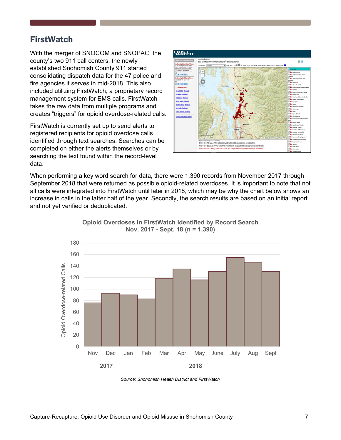#### **FirstWatch**

With the merger of SNOCOM and SNOPAC, the county's two 911 call centers, the newly established Snohomish County 911 started consolidating dispatch data for the 47 police and fire agencies it serves in mid-2018. This also included utilizing FirstWatch, a proprietary record management system for EMS calls. FirstWatch takes the raw data from multiple programs and creates "triggers" for opioid overdose-related calls.

FirstWatch is currently set up to send alerts to registered recipients for opioid overdose calls identified through text searches. Searches can be completed on either the alerts themselves or by searching the text found within the record-level data.



When performing a key word search for data, there were 1,390 records from November 2017 through September 2018 that were returned as possible opioid-related overdoses. It is important to note that not all calls were integrated into FirstWatch until later in 2018, which may be why the chart below shows an increase in calls in the latter half of the year. Secondly, the search results are based on an initial report and not yet verified or deduplicated.



**Opioid Overdoses in FirstWatch Identified by Record Search Nov. 2017 - Sept. 18 (n = 1,390)**

*Source: Snohomish Health District and FirstWatch*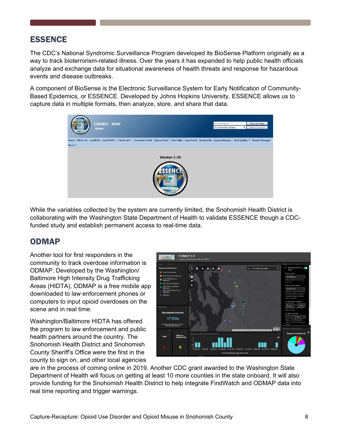## ESSENCE

The CDC's National Syndromic Surveillance Program developed its BioSense Platform originally as a way to track bioterrorism-related illness. Over the years it has expanded to help public health officials analyze and exchange data for situational awareness of health threats and response for hazardous events and disease outbreaks.

A component of BioSense is the Electronic Surveillance System for Early Notification of Community-Based Epidemics, or ESSENCE. Developed by Johns Hopkins University, ESSENCE allows us to capture data in multiple formats, then analyze, store, and share that data.



While the variables collected by the system are currently limited, the Snohomish Health District is collaborating with the Washington State Department of Health to validate ESSENCE though a CDCfunded study and establish permanent access to real-time data.

#### ODMAP

Another tool for first responders in the community to track overdose information is ODMAP. Developed by the Washington/ Baltimore High Intensity Drug Trafficking Areas (HIDTA), ODMAP is a free mobile app downloaded to law enforcement phones or computers to input opioid overdoses on the scene and in real time.

Washington/Baltimore HIDTA has offered the program to law enforcement and public health partners around the country. The Snohomish Health District and Snohomish County Sheriff's Office were the first in the county to sign on, and other local agencies



are in the process of coming online in 2019. Another CDC grant awarded to the Washington State Department of Health will focus on getting at least 10 more counties in the state onboard. It will also provide funding for the Snohomish Health District to help integrate FirstWatch and ODMAP data into real time reporting and trigger warnings.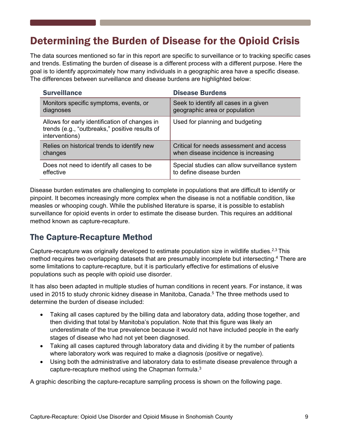# Determining the Burden of Disease for the Opioid Crisis

The data sources mentioned so far in this report are specific to surveillance or to tracking specific cases and trends. Estimating the burden of disease is a different process with a different purpose. Here the goal is to identify approximately how many individuals in a geographic area have a specific disease. The differences between surveillance and disease burdens are highlighted below:

| <b>Surveillance</b>                                                                                               | <b>Disease Burdens</b>                        |
|-------------------------------------------------------------------------------------------------------------------|-----------------------------------------------|
| Monitors specific symptoms, events, or                                                                            | Seek to identify all cases in a given         |
| diagnoses                                                                                                         | geographic area or population                 |
| Allows for early identification of changes in<br>trends (e.g., "outbreaks," positive results of<br>interventions) | Used for planning and budgeting               |
| Relies on historical trends to identify new                                                                       | Critical for needs assessment and access      |
| changes                                                                                                           | when disease incidence is increasing          |
| Does not need to identify all cases to be                                                                         | Special studies can allow surveillance system |
| effective                                                                                                         | to define disease burden                      |

Disease burden estimates are challenging to complete in populations that are difficult to identify or pinpoint. It becomes increasingly more complex when the disease is not a notifiable condition, like measles or whooping cough. While the published literature is sparse, it is possible to establish surveillance for opioid events in order to estimate the disease burden. This requires an additional method known as capture-recapture.

#### The Capture-Recapture Method

Capture-recapture was originally developed to estimate population size in wildlife studies.<sup>2,3</sup> This method requires two overlapping datasets that are presumably incomplete but intersecting.4 There are some limitations to capture-recapture, but it is particularly effective for estimations of elusive populations such as people with opioid use disorder.

It has also been adapted in multiple studies of human conditions in recent years. For instance, it was used in 2015 to study chronic kidney disease in Manitoba, Canada.<sup>5</sup> The three methods used to determine the burden of disease included:

- Taking all cases captured by the billing data and laboratory data, adding those together, and then dividing that total by Manitoba's population. Note that this figure was likely an underestimate of the true prevalence because it would not have included people in the early stages of disease who had not yet been diagnosed.
- Taking all cases captured through laboratory data and dividing it by the number of patients where laboratory work was required to make a diagnosis (positive or negative).
- Using both the administrative and laboratory data to estimate disease prevalence through a capture-recapture method using the Chapman formula.3

A graphic describing the capture-recapture sampling process is shown on the following page.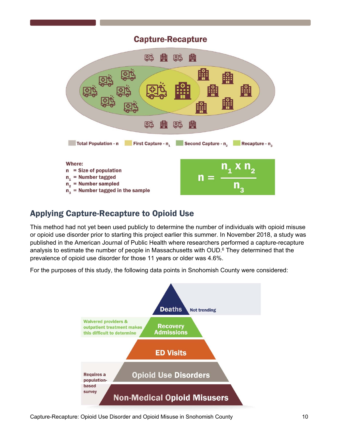#### **Capture-Recapture**



# Applying Capture-Recapture to Opioid Use

This method had not yet been used publicly to determine the number of individuals with opioid misuse or opioid use disorder prior to starting this project earlier this summer. In November 2018, a study was published in the American Journal of Public Health where researchers performed a capture-recapture analysis to estimate the number of people in Massachusetts with OUD.<sup>6</sup> They determined that the prevalence of opioid use disorder for those 11 years or older was 4.6%.

For the purposes of this study, the following data points in Snohomish County were considered:



Capture-Recapture: Opioid Use Disorder and Opioid Misuse in Snohomish County 10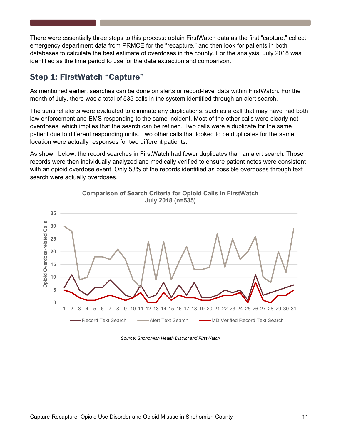There were essentially three steps to this process: obtain FirstWatch data as the first "capture," collect emergency department data from PRMCE for the "recapture," and then look for patients in both databases to calculate the best estimate of overdoses in the county. For the analysis, July 2018 was identified as the time period to use for the data extraction and comparison.

## Step 1: FirstWatch "Capture"

As mentioned earlier, searches can be done on alerts or record-level data within FirstWatch. For the month of July, there was a total of 535 calls in the system identified through an alert search.

The sentinel alerts were evaluated to eliminate any duplications, such as a call that may have had both law enforcement and EMS responding to the same incident. Most of the other calls were clearly not overdoses, which implies that the search can be refined. Two calls were a duplicate for the same patient due to different responding units. Two other calls that looked to be duplicates for the same location were actually responses for two different patients.

As shown below, the record searches in FirstWatch had fewer duplicates than an alert search. Those records were then individually analyzed and medically verified to ensure patient notes were consistent with an opioid overdose event. Only 53% of the records identified as possible overdoses through text search were actually overdoses.



**Comparison of Search Criteria for Opioid Calls in FirstWatch July 2018 (n=535)**

*Source: Snohomish Health District and FirstWatch*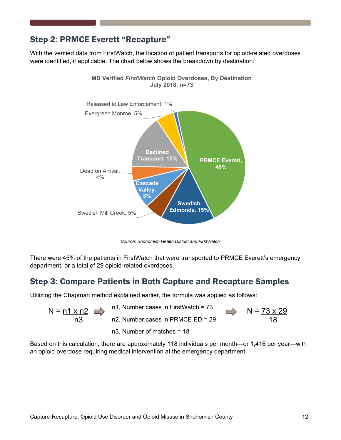## Step 2: PRMCE Everett "Recapture"

With the verified data from FirstWatch, the location of patient transports for opioid-related overdoses were identified, if applicable. The chart below shows the breakdown by destination:

**MD Verified** *FirstWatch* **Opioid Overdoses, By Destination** 



*Source: Snohomish Health District and FirstWatch* 

There were 45% of the patients in FirstWatch that were transported to PRMCE Everett's emergency department, or a total of 29 opioid-related overdoses.

## Step 3: Compare Patients in Both Capture and Recapture Samples

Utilizing the Chapman method explained earlier, the formula was applied as follows:

$$
N = \underbrace{n1 \times n2}_{n3} \implies \begin{array}{c} n1, \text{ Number cases in FirstWatch} = 73 \\ n2, \text{ Number cases in PRMCE ED} = 29 \end{array} \implies N = \underbrace{73 \times 2}_{18}
$$

n3, Number of matches = 18

 $\overline{.9}$ 

Based on this calculation, there are approximately 118 individuals per month—or 1,416 per year—with an opioid overdose requiring medical intervention at the emergency department.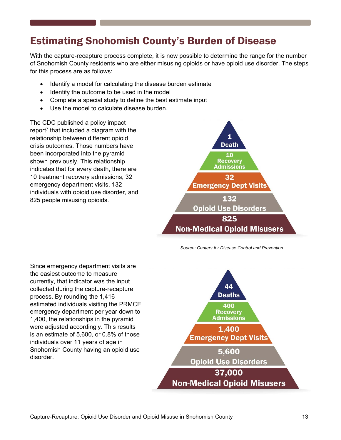# Estimating Snohomish County's Burden of Disease

With the capture-recapture process complete, it is now possible to determine the range for the number of Snohomish County residents who are either misusing opioids or have opioid use disorder. The steps for this process are as follows:

- Identify a model for calculating the disease burden estimate
- Identify the outcome to be used in the model
- Complete a special study to define the best estimate input
- Use the model to calculate disease burden.

The CDC published a policy impact report<sup> $7$ </sup> that included a diagram with the relationship between different opioid crisis outcomes. Those numbers have been incorporated into the pyramid shown previously. This relationship indicates that for every death, there are 10 treatment recovery admissions, 32 emergency department visits, 132 individuals with opioid use disorder, and 825 people misusing opioids.



 *Source: Centers for Disease Control and Prevention* 

Since emergency department visits are the easiest outcome to measure currently, that indicator was the input collected during the capture-recapture process. By rounding the 1,416 estimated individuals visiting the PRMCE emergency department per year down to 1,400, the relationships in the pyramid were adjusted accordingly. This results is an estimate of 5,600, or 0.8% of those individuals over 11 years of age in Snohomish County having an opioid use disorder.

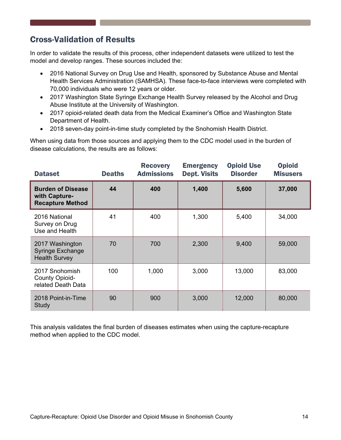# Cross-Validation of Results

In order to validate the results of this process, other independent datasets were utilized to test the model and develop ranges. These sources included the:

- 2016 National Survey on Drug Use and Health, sponsored by Substance Abuse and Mental Health Services Administration (SAMHSA). These face-to-face interviews were completed with 70,000 individuals who were 12 years or older.
- 2017 Washington State Syringe Exchange Health Survey released by the Alcohol and Drug Abuse Institute at the University of Washington.
- 2017 opioid-related death data from the Medical Examiner's Office and Washington State Department of Health.
- 2018 seven-day point-in-time study completed by the Snohomish Health District.

When using data from those sources and applying them to the CDC model used in the burden of disease calculations, the results are as follows:

| <b>Dataset</b>                                                       | <b>Deaths</b> | <b>Recovery</b><br><b>Admissions</b> | <b>Emergency</b><br><b>Dept. Visits</b> | <b>Opioid Use</b><br><b>Disorder</b> | <b>Opioid</b><br><b>Misusers</b> |
|----------------------------------------------------------------------|---------------|--------------------------------------|-----------------------------------------|--------------------------------------|----------------------------------|
| <b>Burden of Disease</b><br>with Capture-<br><b>Recapture Method</b> | 44            | 400                                  | 1,400                                   | 5,600                                | 37,000                           |
| 2016 National<br>Survey on Drug<br>Use and Health                    | 41            | 400                                  | 1,300                                   | 5,400                                | 34,000                           |
| 2017 Washington<br><b>Syringe Exchange</b><br><b>Health Survey</b>   | 70            | 700                                  | 2,300                                   | 9,400                                | 59,000                           |
| 2017 Snohomish<br>County Opioid-<br>related Death Data               | 100           | 1,000                                | 3,000                                   | 13,000                               | 83,000                           |
| 2018 Point-in-Time<br>Study                                          | 90            | 900                                  | 3,000                                   | 12,000                               | 80,000                           |

This analysis validates the final burden of diseases estimates when using the capture-recapture method when applied to the CDC model.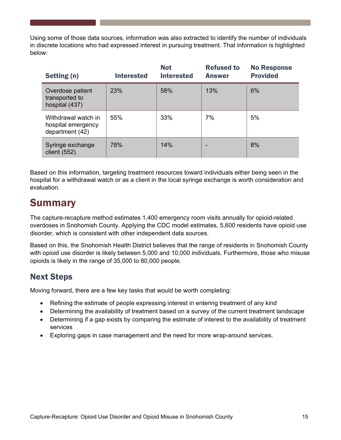Using some of those data sources, information was also extracted to identify the number of individuals in discrete locations who had expressed interest in pursuing treatment. That information is highlighted below:

| Setting (n)                                                  | <b>Interested</b> | <b>Not</b><br><b>Interested</b> | <b>Refused to</b><br><b>Answer</b> | <b>No Response</b><br><b>Provided</b> |
|--------------------------------------------------------------|-------------------|---------------------------------|------------------------------------|---------------------------------------|
| Overdose patient<br>transported to<br>hospital (437)         | 23%               | 58%                             | 13%                                | 6%                                    |
| Withdrawal watch in<br>hospital emergency<br>department (42) | 55%               | 33%                             | 7%                                 | 5%                                    |
| Syringe exchange<br>client $(552)$                           | 78%               | 14%                             |                                    | 8%                                    |

Based on this information, targeting treatment resources toward individuals either being seen in the hospital for a withdrawal watch or as a client in the local syringe exchange is worth consideration and evaluation.

# Summary

The capture-recapture method estimates 1,400 emergency room visits annually for opioid-related overdoses in Snohomish County. Applying the CDC model estimates, 5,600 residents have opioid use disorder, which is consistent with other independent data sources.

Based on this, the Snohomish Health District believes that the range of residents in Snohomish County with opioid use disorder is likely between 5,000 and 10,000 individuals. Furthermore, those who misuse opioids is likely in the range of 35,000 to 80,000 people.

# Next Steps

Moving forward, there are a few key tasks that would be worth completing:

- Refining the estimate of people expressing interest in entering treatment of any kind
- Determining the availability of treatment based on a survey of the current treatment landscape
- Determining if a gap exists by comparing the estimate of interest to the availability of treatment services
- Exploring gaps in case management and the need for more wrap-around services.